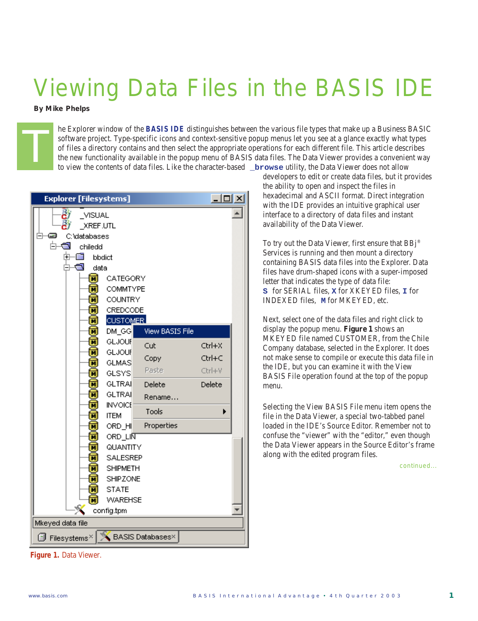## Viewing Data Files in the BASIS IDE

*By Mike Phelps*

The Explorer window of the **BASIS IDE** distinguishes between the various file types that make up a Business BASIC<br>software project. Type-specific icons and context-sensitive popup menus let you see at a glance exactly what software project. Type-specific icons and context-sensitive popup menus let you see at a glance exactly what types of files a directory contains and then select the appropriate operations for each different file. This article describes the new functionality available in the popup menu of BASIS data files. The Data Viewer provides a convenient way to view the contents of data files. Like the character-based **\_browse** utility, the Data Viewer does not allow

| $\Box$ ol $\times$<br><b>Explorer [Filesystems]</b> |                    |                 |        |  |  |  |  |
|-----------------------------------------------------|--------------------|-----------------|--------|--|--|--|--|
| έï<br><b>VISUAL</b><br>XREF.UTL                     |                    |                 |        |  |  |  |  |
| ≕                                                   | C:\databases       |                 |        |  |  |  |  |
|                                                     | 甴<br>G<br>chiledd  |                 |        |  |  |  |  |
|                                                     | -67<br>闲<br>bbdict |                 |        |  |  |  |  |
| G<br>data                                           |                    |                 |        |  |  |  |  |
| π                                                   | CATEGORY           |                 |        |  |  |  |  |
| ╥                                                   | COMMTYPE           |                 |        |  |  |  |  |
| $\overline{\mathbf{N}}$                             | <b>COUNTRY</b>     |                 |        |  |  |  |  |
| π                                                   | CREDCODE           |                 |        |  |  |  |  |
| Ñ                                                   | <b>CUSTOMER</b>    |                 |        |  |  |  |  |
| π                                                   | $DM_GG$            | View BASIS File |        |  |  |  |  |
| π                                                   | GLJOUR             | Cut             | Ctrl+X |  |  |  |  |
| π                                                   | <b>GLJOUR</b>      | Copy            | Ctrl+C |  |  |  |  |
| π                                                   | <b>GLMAS</b>       |                 |        |  |  |  |  |
| Ñ                                                   | GLSYS              | Paste           | Ctrl+V |  |  |  |  |
| ℼ                                                   | <b>GLTRAI</b>      | Delete          | Delete |  |  |  |  |
| π                                                   | <b>GLTRAI</b>      | Rename          |        |  |  |  |  |
| π                                                   | <b>INVOICE</b>     | Tools           |        |  |  |  |  |
| π                                                   | <b>ITEM</b>        |                 |        |  |  |  |  |
| π                                                   | ORD_HI             | Properties      |        |  |  |  |  |
| π                                                   | ORD_LINT           |                 |        |  |  |  |  |
| π                                                   | QUANTITY           |                 |        |  |  |  |  |
| <b>SALESREP</b><br>ℼ                                |                    |                 |        |  |  |  |  |
| ℼ                                                   | <b>SHIPMETH</b>    |                 |        |  |  |  |  |
| π                                                   | SHIPZONE           |                 |        |  |  |  |  |
| π                                                   | <b>STATE</b>       |                 |        |  |  |  |  |
| <b>WAREHSE</b><br>π                                 |                    |                 |        |  |  |  |  |
| config.tpm                                          |                    |                 |        |  |  |  |  |
| Mkeyed data file                                    |                    |                 |        |  |  |  |  |
| BASIS Databases×<br>σ<br>Filesystems <sup>×</sup>   |                    |                 |        |  |  |  |  |

developers to edit or create data files, but it provides the ability to open and inspect the files in hexadecimal and ASCII format. Direct integration with the IDE provides an intuitive graphical user interface to a directory of data files and instant availability of the Data Viewer.

To try out the Data Viewer, first ensure that BBj® Services is running and then mount a directory containing BASIS data files into the Explorer. Data files have drum-shaped icons with a super-imposed letter that indicates the type of data file: **S** for SERIAL files, **X** for XKEYED files, **I** for INDEXED files, **M** for MKEYED, etc.

Next, select one of the data files and right click to display the popup menu. **Figure 1** shows an MKEYED file named CUSTOMER, from the Chile Company database, selected in the Explorer. It does not make sense to compile or execute this data file in the IDE, but you can examine it with the View BASIS File operation found at the top of the popup menu.

Selecting the View BASIS File menu item opens the file in the Data Viewer, a special two-tabbed panel loaded in the IDE's Source Editor. Remember not to confuse the "viewer" with the "editor," even though the Data Viewer appears in the Source Editor's frame along with the edited program files.

*continued...*

**Figure 1.** Data Viewer.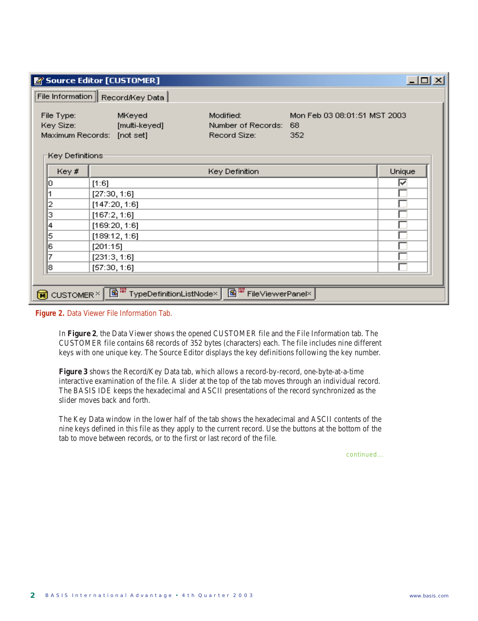| $\Box$ o $\Box$<br>Source Editor [CUSTOMER]                                                 |                                                       |                                                 |                                           |        |  |  |  |
|---------------------------------------------------------------------------------------------|-------------------------------------------------------|-------------------------------------------------|-------------------------------------------|--------|--|--|--|
| File Information Record/Key Data                                                            |                                                       |                                                 |                                           |        |  |  |  |
| File Type:<br>Key Size:<br>Key Definitions:                                                 | MKeyed<br>[multi-keyed]<br>Maximum Records: [not set] | Modified:<br>Number of Records:<br>Record Size: | Mon Feb 03 08:01:51 MST 2003<br>68<br>352 |        |  |  |  |
| Key #                                                                                       |                                                       | Key Definition                                  |                                           | Unique |  |  |  |
| Ю                                                                                           | [1:6]                                                 |                                                 |                                           | ⊽      |  |  |  |
|                                                                                             | [27:30, 1:6]                                          |                                                 |                                           |        |  |  |  |
| 2                                                                                           | [147:20, 1:6]                                         |                                                 |                                           |        |  |  |  |
| з                                                                                           | [167:2, 1:6]                                          |                                                 |                                           |        |  |  |  |
| 4                                                                                           | [169:20, 1:6]                                         |                                                 |                                           |        |  |  |  |
| 5                                                                                           | [189:12, 1:6]                                         |                                                 |                                           |        |  |  |  |
| 6                                                                                           | [201:15]                                              |                                                 |                                           |        |  |  |  |
| 7                                                                                           | [231:3, 1:6]                                          |                                                 |                                           |        |  |  |  |
| 8                                                                                           | [57:30, 1:6]                                          |                                                 |                                           |        |  |  |  |
|                                                                                             |                                                       |                                                 |                                           |        |  |  |  |
| FileViewerPanel×<br>TypeDefinitionListNode×<br>$\widehat{\mathbf{M}}$ CUSTOMER <sup>×</sup> |                                                       |                                                 |                                           |        |  |  |  |

**Figure 2.** Data Viewer File Information Tab.

In **Figure 2**, the Data Viewer shows the opened CUSTOMER file and the File Information tab. The CUSTOMER file contains 68 records of 352 bytes (characters) each. The file includes nine different keys with one unique key. The Source Editor displays the key definitions following the key number.

**Figure 3** shows the Record/Key Data tab, which allows a record-by-record, one-byte-at-a-time interactive examination of the file. A slider at the top of the tab moves through an individual record. The BASIS IDE keeps the hexadecimal and ASCII presentations of the record synchronized as the slider moves back and forth.

The Key Data window in the lower half of the tab shows the hexadecimal and ASCII contents of the nine keys defined in this file as they apply to the current record. Use the buttons at the bottom of the tab to move between records, or to the first or last record of the file.

*continued...*